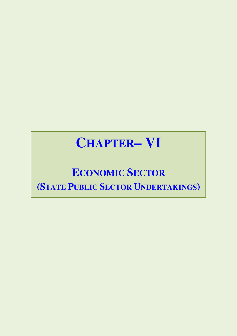# **CHAPTER-VI**

## **ECONOMIC SECTOR** (STATE PUBLIC SECTOR UNDERTAKINGS)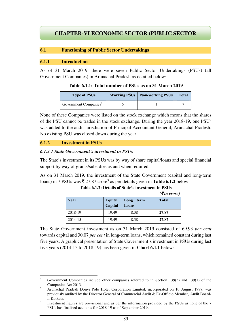### **CHAPTER-VI ECONOMIC SECTOR (PUBLIC SECTOR UNDERTAKING)**

#### **6.1 Functioning of Public Sector Undertakings**

#### **6.1.1 Introduction**

As of 31 March 2019, there were seven Public Sector Undertakings (PSUs) (all Government Companies) in Arunachal Pradesh as detailed below:

**Table 6.1.1: Total number of PSUs as on 31 March 2019** 

| <b>Type of PSUs</b>               | <b>Working PSUs   Non-working PSUs</b> | <b>Total</b> |
|-----------------------------------|----------------------------------------|--------------|
| Government Companies <sup>1</sup> |                                        |              |

None of these Companies were listed on the stock exchange which means that the shares of the PSU cannot be traded in the stock exchange. During the year  $2018-19$ , one  $PSU<sup>2</sup>$ was added to the audit jurisdiction of Principal Accountant General, Arunachal Pradesh. No existing PSU was closed down during the year.

#### **6.1.2 Investment in PSUs**

l

#### *6.1.2.1 State Government's investment in PSUs*

The State's investment in its PSUs was by way of share capital/loans and special financial support by way of grants/subsidies as and when required.

As on 31 March 2019, the investment of the State Government (capital and long-term loans) in 7 PSUs was  $\bar{\tau}$  27.87 crore<sup>3</sup> as per details given in **Table 6.1.2** below:

|         |                          |                       | $($ $\bf{u}$ $\bf{u}$ $\bf{u}$ $\bf{v}$ $\bf{u}$ |
|---------|--------------------------|-----------------------|--------------------------------------------------|
| Year    | <b>Equity</b><br>Capital | Long<br>term<br>Loans | <b>Total</b>                                     |
| 2018-19 | 19.49                    | 8.38                  | 27.87                                            |
| 2014-15 | 19.49                    | 8.38                  | 27.87                                            |

**Table 6.1.2: Details of State's investment in PSUs**   $(\vec{F}$ *in crore*)

The State Government investment as on 31 March 2019 consisted of 69.93 *per cent* towards capital and 30.07 *per cent* in long-term loans, which remained constant during last five years. A graphical presentation of State Government's investment in PSUs during last five years (2014-15 to 2018-19) has been given in **Chart 6.1.1** below:

<sup>1</sup> Government Companies include other companies referred to in Section 139(5) and 139(7) of the Companies Act 2013.

<sup>2</sup> Arunachal Pradesh Donyi Polo Hotel Corporation Limited, incorporated on 10 August 1987, was previously audited by the Director General of Commercial Audit & Ex-Officio Member, Audit Board-I, Kolkata.

<sup>3</sup> Investment figures are provisional and as per the information provided by the PSUs as none of the 7 PSUs has finalised accounts for 2018-19 as of September 2019.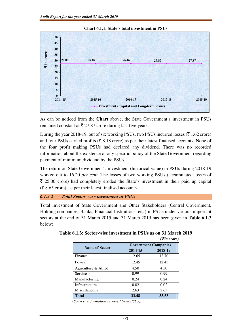

**Chart 6.1.1: State's total investment in PSUs** 

As can be noticed from the **Chart** above, the State Government's investment in PSUs remained constant at  $\bar{\tau}$  27.87 crore during last five years.

During the year 2018-19, out of six working PSUs, two PSUs incurred losses ( $\bar{\tau}$  1.62 crore) and four PSUs earned profits ( $\bar{\tau}$  8.18 crore) as per their latest finalised accounts. None of the four profit making PSUs had declared any dividend. There was no recorded information about the existence of any specific policy of the State Government regarding payment of minimum dividend by the PSUs.

The return on State Government's investment (historical value) in PSUs during 2018-19 worked out to 16.20 *per cent*. The losses of two working PSUs (accumulated losses of  $\bar{\tau}$  25.00 crore) had completely eroded the State's investment in their paid up capital  $(\overline{\mathcal{F}} 8.65$  crore), as per their latest finalised accounts.

#### *6.1.2.2 Total Sector-wise investment in PSUs*

Total investment of State Government and Other Stakeholders (Central Government, Holding companies, Banks, Financial Institutions, etc.) in PSUs under various important sectors at the end of 31 March 2015 and 31 March 2019 has been given in **Table 6.1.3**  below:

|                       |                             | $( \bar{\mathbf{z}}$ in crore) |  |  |
|-----------------------|-----------------------------|--------------------------------|--|--|
| <b>Name of Sector</b> | <b>Government Companies</b> |                                |  |  |
|                       | 2014-15                     | 2018-19                        |  |  |
| Finance               | 12.65                       | 12.70                          |  |  |
| Power                 | 12.45                       | 12.45                          |  |  |
| Agriculture & Allied  | 4.50                        | 4.50                           |  |  |
| Service               | 0.99                        | 0.99                           |  |  |
| Manufacturing         | 0.24                        | 0.24                           |  |  |
| Infrastructure        | 0.02                        | 0.02                           |  |  |
| Miscellaneous         | 2.63                        | 2.63                           |  |  |
| <b>Total</b>          | 33.48                       | 33.53                          |  |  |

#### **Table 6.1.3: Sector-wise investment in PSUs as on 31 March 2019**

*(Source: Information received from PSUs).*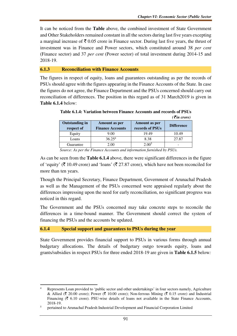It can be noticed from the **Table** above, the combined investment of State Government and Other Stakeholders remained constant in all the sectors during last five years excepting a marginal increase of  $\bar{\tau}$  0.05 crore in Finance sector. During last five years, the thrust of investment was in Finance and Power sectors, which constituted around 38 *per cent*  (Finance sector) and 37 *per cent* (Power sector) of total investment during 2014-15 and 2018-19.

#### **6.1.3 Reconciliation with Finance Accounts**

The figures in respect of equity, loans and guarantees outstanding as per the records of PSUs should agree with the figures appearing in the Finance Accounts of the State. In case the figures do not agree, the Finance Department and the PSUs concerned should carry out reconciliation of differences. The position in this regard as of 31 March2019 is given in **Table 6.1.4** below:

|                                     |                                          |                                  | ( <i>T</i> in crore) |
|-------------------------------------|------------------------------------------|----------------------------------|----------------------|
| <b>Outstanding in</b><br>respect of | Amount as per<br><b>Finance Accounts</b> | Amount as per<br>records of PSUs | <b>Difference</b>    |
| Equity                              | 9.00                                     | 19.49                            | 10.49                |
| Loans                               | 36.25 <sup>4</sup>                       | 8.38                             | 27.87                |
| Guarantee                           | 2.00                                     | 2.00 <sup>5</sup>                |                      |

**Table 6.1.4: Variation between Finance Accounts and records of PSUs**  *(*` *in crore)* 

*Source: As per the Finance Accounts and information furnished by PSUs.*

As can be seen from the **Table 6.1.4** above, there were significant differences in the figure of 'equity' ( $\bar{\tau}$  10.49 crore) and 'loans' ( $\bar{\tau}$  27.87 crore), which have not been reconciled for more than ten years.

Though the Principal Secretary, Finance Department, Government of Arunachal Pradesh as well as the Management of the PSUs concerned were appraised regularly about the differences impressing upon the need for early reconciliation, no significant progress was noticed in this regard.

The Government and the PSUs concerned may take concrete steps to reconcile the differences in a time-bound manner. The Government should correct the system of financing the PSUs and the accounts be updated.

#### **6.1.4 Special support and guarantees to PSUs during the year**

 $\overline{a}$ 

State Government provides financial support to PSUs in various forms through annual budgetary allocations. The details of budgetary outgo towards equity, loans and grants/subsidies in respect PSUs for three ended 2018-19 are given in **Table 6.1.5** below*:*

<sup>4</sup> Represents Loan provided to 'public sector and other undertakings' in four sectors namely, Agriculture & Allied ( $\bar{\zeta}$  20.00 crore); Power ( $\bar{\zeta}$  10.00 crore); Non-ferrous Mining ( $\bar{\zeta}$  0.15 crore) and Industrial Financing ( $\bar{\tau}$  6.10 crore). PSU-wise details of loans not available in the State Finance Accounts, 2018-19.

<sup>5</sup> pertained to Arunachal Pradesh Industrial Development and Financial Corporation Limited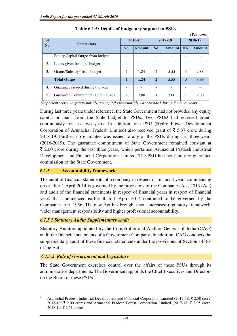|     | $( \bar{\mathbf{\mathcal{F}}}$ in crore) |              |        |                             |        |         |        |
|-----|------------------------------------------|--------------|--------|-----------------------------|--------|---------|--------|
| SI. |                                          | 2016-17      |        | 2017-18                     |        | 2018-19 |        |
| No. | <b>Particulars</b>                       | No.          | Amount | No.                         | Amount | No.     | Amount |
| 1.  | Equity Capital Outgo from budget         |              |        |                             |        |         |        |
| 2.  | Loans given from the budget              |              |        |                             |        |         |        |
| 3.  | Grants/Subsidy* from budget              |              | 1.24   | $\mathcal{D}_{\mathcal{L}}$ | 5.55   | 3       | 9.88   |
|     | <b>Total Outgo</b>                       | $\mathbf{1}$ | 1.24   | $\overline{2}$              | 5.55   | 3       | 9.88   |
| 4.  | Guarantees issued during the year        |              |        |                             |        |         |        |
| 5.  | Guarantee Commitment (Cumulative)        |              | 2.00   |                             | 2.00   |         | 2.00   |

**Table 6.1.5: Details of budgetary support to PSUs** 

*\*Represents revenue grants/subsidy; no capital grant/subsidy was provided during the three years.* 

During last three years under reference, the State Government had not provided any equity capital or loans from the State budget to PSUs. Two PSUs**<sup>6</sup>** had received grants continuously for last two years. In addition, one PSU (Hydro Power Development Corporation of Arunachal Pradesh Limited) also received grant of  $\bar{\tau}$  5.37 crore during 2018-19. Further, no guarantee was issued to any of the PSUs during last three years (2016-2019). The guarantee commitment of State Government remained constant at  $\bar{\xi}$  2.00 crore during the last three years, which pertained Arunachal Pradesh Industrial Development and Financial Corporation Limited. The PSU had not paid any guarantee commission to the State Government.

#### **6.1.5 Accountability framework**

The audit of financial statements of a company in respect of financial years commencing on or after 1 April 2014 is governed by the provisions of the Companies Act, 2013 (Act) and audit of the financial statements in respect of financial years in respect of financial years that commenced earlier than 1 April 2014 continued to be governed by the Companies Act, 1956. The new Act has brought about increased regulatory framework, wider management responsibility and higher professional accountability.

#### *6.1.5.1 Statutory Audit/ Supplementary Audit*

Statutory Auditors appointed by the Comptroller and Auditor General of India (CAG) audit the financial statements of a Government Company. In addition, CAG conducts the supplementary audit of these financial statements under the provisions of Section 143(6) of the Act.

#### *6.1.5.2 Role of Government and Legislature*

 $\overline{a}$ 

The State Government exercises control over the affairs of these PSUs through its administrative departments. The Government appoints the Chief Executives and Directors on the Board of these PSUs.

<sup>6</sup> Arunachal Pradesh Industrial Development and Financial Corporation Limited (2017-18:  $\bar{\tau}$  2.50 crore; 2018-19:  $\bar{\tau}$  2.00 crore) and Arunachal Pradesh Forest Corporation Limited (2017-18:  $\bar{\tau}$  3.05 crore; 2018-19: ₹ 2.51 crore)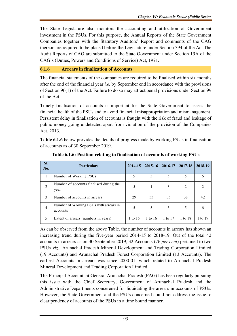The State Legislature also monitors the accounting and utilization of Government investment in the PSUs. For this purpose, the Annual Reports of the State Government Companies together with the Statutory Auditors' Report and comments of the CAG thereon are required to be placed before the Legislature under Section 394 of the Act.The Audit Reports of CAG are submitted to the State Government under Section 19A of the CAG's (Duties, Powers and Conditions of Service) Act, 1971.

#### **6.1.6 Arrears in finalization of Accounts**

The financial statements of the companies are required to be finalised within six months after the end of the financial year *i.e.* by September end in accordance with the provisions of Section 96(1) of the Act. Failure to do so may attract penal provisions under Section 99 of the Act.

Timely finalisation of accounts is important for the State Government to assess the financial health of the PSUs and to avoid financial misappropriation and mismanagement. Persistent delay in finalisation of accounts is fraught with the risk of fraud and leakage of public money going undetected apart from violation of the provision of the Companies Act, 2013.

**Table 6.1.6** below provides the details of progress made by working PSUs in finalisation of accounts as of 30 September 2019.

| SI.<br>No.     | <b>Particulars</b>                                 | 2014-15 | 2015-16 | 2016-17 | 2017-18        | 2018-19 |
|----------------|----------------------------------------------------|---------|---------|---------|----------------|---------|
|                | Number of Working PSUs                             |         | 5       |         | 5              |         |
| 2              | Number of accounts finalised during the<br>year    | 5       | 1       | 3       | $\overline{2}$ |         |
| $\mathbf{3}$   | Number of accounts in arrears                      | 29      | 33      | 35      | 38             | 42      |
| $\overline{4}$ | Number of Working PSUs with arrears in<br>accounts | 5       | 5       | 5       | 5              | 6       |
| 5              | Extent of arrears (numbers in years)               | 1 to 15 | 1 to 16 | 1 to 17 | 1 to 18        | 1 to 19 |

**Table 6.1.6: Position relating to finalisation of accounts of working PSUs** 

As can be observed from the above Table, the number of accounts in arrears has shown an increasing trend during the five-year period 2014-15 to 2018-19. Out of the total 42 accounts in arrears as on 30 September 2019, 32 Accounts (76 *per cent*) pertained to two PSUs *viz*., Arunachal Pradesh Mineral Development and Trading Corporation Limited (19 Accounts) and Arunachal Pradesh Forest Corporation Limited (13 Accounts). The earliest Accounts in arrears was since 2000-01, which related to Arunachal Pradesh Mineral Development and Trading Corporation Limited.

The Principal Accountant General Arunachal Pradesh (PAG) has been regularly pursuing this issue with the Chief Secretary, Government of Arunachal Pradesh and the Administrative Departments concerened for liquidating the arrears in accounts of PSUs. However, the State Government and the PSUs concerned could not address the issue to clear pendency of accounts of the PSUs in a time bound manner.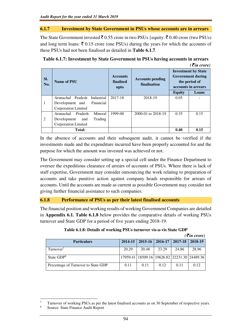#### **6.1.7 Investment by State Government in PSUs whose accounts are in arrears**

The State Government invested  $\bar{\tau}$  0.55 crore in two PSUs {equity:  $\bar{\tau}$  0.40 crore (two PSUs) and long term loans:  $\bar{\xi}$  0.15 crore (one PSUs) during the years for which the accounts of these PSUs had not been finalised as detailed in **Table 6.1.7**.

| $( \bar{\mathbf{z}}$ in crore) |                                    |                              |                                         |               |                                                                                                |  |
|--------------------------------|------------------------------------|------------------------------|-----------------------------------------|---------------|------------------------------------------------------------------------------------------------|--|
| SI.<br>No.                     | Name of PSU                        | <b>Accounts</b><br>finalised | <b>Accounts pending</b><br>finalisation |               | <b>Investment by State</b><br><b>Government during</b><br>the period of<br>accounts in arrears |  |
|                                |                                    | upto                         |                                         | <b>Equity</b> | Loans                                                                                          |  |
|                                | Pradesh<br>Arunachal<br>Industrial | 2017-18                      | 2018-19                                 | 0.05          |                                                                                                |  |
|                                | Financial<br>Development and       |                              |                                         |               |                                                                                                |  |
|                                | Corporation Limited                |                              |                                         |               |                                                                                                |  |
|                                | Arunachal<br>Pradesh<br>Mineral    | 1999-00                      | 2000-01 to 2018-19                      | 0.35          | 0.15                                                                                           |  |
| 2                              | Trading<br>Development<br>and      |                              |                                         |               |                                                                                                |  |
|                                | Corporation Limited                |                              |                                         |               |                                                                                                |  |
|                                | <b>Total:</b>                      |                              |                                         | 0.40          | 0.15                                                                                           |  |

| Table 6.1.7: Investment by State Government in PSUs having accounts in arrears |  |
|--------------------------------------------------------------------------------|--|
|                                                                                |  |

In the absence of accounts and their subsequent audit, it cannot be verified if the investments made and the expenditure incurred have been properly accounted for and the purpose for which the amount was invested was achieved or not.

The Government may consider setting up a special cell under the Finance Department to oversee the expeditious clearance of arrears of accounts of PSUs. Where there is lack of staff expertise, Government may consider outsourcing the work relating to preparation of accounts and take punitive action against company heads responsible for arrears of accounts. Until the accounts are made as current as possible Government may consider not giving further financial assistance to such companies.

#### **6.1.8 Performance of PSUs as per their latest finalised accounts**

The financial position and working results of working Government Companies are detailed in **Appendix 6.1. Table 6.1.8** below provides the comparative details of working PSUs turnover and State GDP for a period of five years ending 2018-19.

|                                     |         |       |                               |       | $( \bar{z}$ in crore)                                |
|-------------------------------------|---------|-------|-------------------------------|-------|------------------------------------------------------|
| <b>Particulars</b>                  | 2014-15 |       | $2015-16$   2016-17   2017-18 |       | $12018-19$                                           |
| Turnover <sup>7</sup>               | 20.29   | 20.48 | 23.29                         | 24.86 | 28.96                                                |
| State GDP <sup>8</sup>              |         |       |                               |       | 17959.41   18509.16   19626.82   22231.30   24489.36 |
| Percentage of Turnover to State GDP | 0.11    | 0.11  | 0.12                          | 0.11  | 0.12                                                 |

|  | Table 6.1.8: Details of working PSUs turnover vis-a-vis State GDP |  |
|--|-------------------------------------------------------------------|--|
|  |                                                                   |  |

l

<sup>7</sup> Turnover of working PSUs as per the latest finalised accounts as on 30 September of respective years. 8 Source: State Finance Audit Report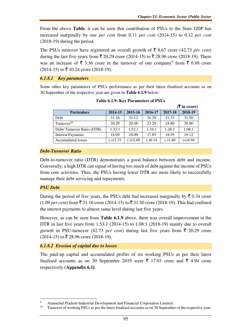From the above **Table**, it can be seen that contribution of PSUs to the State GDP has increased marginally by one *per cent* from 0.11 *per cent* (2014-15) to 0.12 *per cent*  (2018-19) during the period.

The PSUs turnover have registered an overall growth of  $\bar{\tau}$  8.67 crore (42.73 *per cent*) during the last five years from ₹ 20.29 crore (2014-15) to ₹ 28.96 crore (2018-19). There was an increase of  $\bar{\tau}$  3.36 crore in the turnover of one company<sup>9</sup> from  $\bar{\tau}$  6.88 crore  $(2014-15)$  to  $\overline{5}$  10.24 crore (2018-19).

#### *6.1.8.1 Key parameters*

Some other key parameters of PSUs performance as per their latest finalised accounts as on 30 September of the respective year are given in **Table 6.1.9** below:

|                           |            |            |           |           | $(\overline{\mathbf{\mathcal{F}}}$ in crore) |
|---------------------------|------------|------------|-----------|-----------|----------------------------------------------|
| <b>Particulars</b>        | 2014-15    | 2015-16    | 2016-17   | 2017-18   | 2018-19                                      |
| Debt                      | 31.16      | 31.12      | 31.29     | 31.33     | 31.50                                        |
| Turnover $10$             | 20.29      | 20.48      | 23.29     | 24.86     | 28.96                                        |
| Debt/Turnover Ratio (DTR) | 1.53:1     | 1.52:1     | 1.34:1    | 1.26:1    | 1.08:1                                       |
| <b>Interest Payments</b>  | 18.09      | 18.09      | 17.85     | 18.95     | 19.12                                        |
| Accumulated losses        | $(-)11.31$ | $(-)12.49$ | $(-)6.14$ | $(-)1.40$ | $(+)4.94$                                    |

|  |  |  | Table 6.1.9: Key Parameters of PSUs |  |
|--|--|--|-------------------------------------|--|
|--|--|--|-------------------------------------|--|

#### *Debt-Turnover Ratio*

Debt-to-turnover ratio (DTR) demonstrates a good balance between debt and income. Conversely, a high DTR can signal of having too much of debt against the income of PSUs from core activities. Thus, the PSUs having lower DTR are more likely to successfully manage their debt servicing and repayments.

#### *PSU Debt*

l

During the period of five years, the PSUs debt had increased marginally by  $\bar{\tau}$  0.34 crore  $(1.09 \text{ per cent})$  from  $\bar{\mathfrak{F}}$  31.16 crore (2014-15) to  $\bar{\mathfrak{F}}$  31.50 crore (2018-19). This had confined the interest payments to almost same level during last five years.

However, as can be seen from **Table 6.1.9** above, there was overall improvement in the DTR in last five years from 1.53:1 (2014-15) to 1.08:1 (2018-19) mainly due to overall growth in PSU-turnover (42.73 *per cent*) during last five years from  $\bar{\tau}$  20.29 crore  $(2014-15)$  to  $\overline{\xi}$  28.96 crore (2018-19).

*6.1.8.2 Erosion of capital due to losses* 

The paid-up capital and accumulated profits of six working PSUs as per their latest finalised accounts as on 30 September 2019 were  $\bar{\tau}$  17.03 crore and  $\bar{\tau}$  4.94 crore respectively **(Appendix 6.1)**.

<sup>9</sup> <sup>9</sup> Arunachal Pradesh Industrial Development and Financial Corporation Limited.<br><sup>10</sup> Turnover of working PSLIs as partial latest finalised accounts as on 20 Sontamba

Turnover of working PSUs as per the latest finalised accounts as on 30 September of the respective year.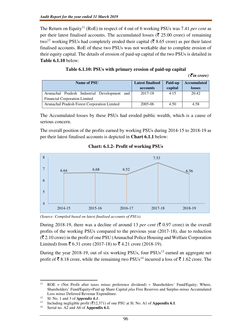The Return on Equity<sup>11</sup> (RoE) in respect of 4 out of 6 working PSUs was 7.41 *per cent* as per their latest finalised accounts. The accumulated losses ( $\bar{\tau}$  25.00 crore) of remaining two<sup>12</sup> working PSUs had completely eroded their capital ( $\bar{\mathfrak{c}}$  8.65 crore) as per their latest finalised accounts. RoE of these two PSUs was not workable due to complete erosion of their equity capital. The details of erosion of paid-up capital of the two PSUs is detailed in **Table 6.1.10** below:

|                                                 |                         |         | $( \bar{\mathbf{\mathcal{F}}}$ in crore) |
|-------------------------------------------------|-------------------------|---------|------------------------------------------|
| <b>Name of PSU</b>                              | <b>Latest finalised</b> | Paid-up | <b>Accumulated</b>                       |
|                                                 | accounts                | capital | losses                                   |
| Arunachal Pradesh Industrial Development<br>and | 2017-18                 | 4.15    | 20.42                                    |
| Financial Corporation Limited                   |                         |         |                                          |
| Arunachal Pradesh Forest Corporation Limited    | 2005-06                 | 4.50    | 4.58                                     |

The Accumulated losses by these PSUs had eroded public wealth, which is a cause of serious concern.

The overall position of the profits earned by working PSUs during 2014-15 to 2018-19 as per their latest finalised accounts is depicted in **Chart 6.1.1** below:

**Chart: 6.1.2- Profit of working PSUs** 



*(Source: Compiled based on latest finalised accounts of PSUs).* 

During 2018-19, there was a decline of around 13 *per cent* ( $\bar{\xi}$  0.97 crore) in the overall profits of the working PSUs compared to the previous year (2017-18), due to reduction  $(\overline{\mathcal{F}} 2.10$  crore) in the profit of one PSU (Arunachal Police Housing and Welfare Corporation Limited) from ₹ 6.31 crore (2017-18) to ₹ 4.21 crore (2018-19).

During the year 2018-19, out of six working PSUs, four  $PSUs<sup>13</sup>$  earned an aggregate net profit of  $\bar{\mathcal{F}}$  8.18 crore, while the remaining two PSUs<sup>14</sup> incurred a loss of  $\bar{\mathcal{F}}$  1.62 crore. The

 $\overline{a}$ 

<sup>&</sup>lt;sup>11</sup> ROE = (Net Profit after taxes *minus* preference dividend)  $\div$  Shareholders' Fund/Equity; Where, Shareholders' Fund/Equity=Paid up Share Capital *plus* Free Reserves and Surplus *minus* Accumulated Loss *minus* Deferred Revenue Expenditure.

<sup>&</sup>lt;sup>12</sup> Sl. No. 1 and 3 of *Appendix 6.1*.

<sup>&</sup>lt;sup>13</sup> Including negligible profit ( $\overline{(}12,371)$  of one PSU at Sl. No. A1 of **Appendix 6.1**.

Serial no. A2 and A6 of **Appendix 6.1.**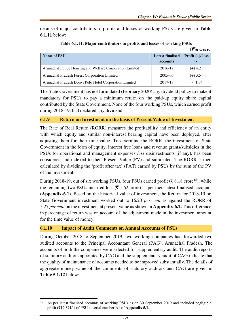$( \bar{\mathcal{F}}$ *in crore*)

details of major contributors to profits and losses of working PSUs are given in **Table 6.1.11** below:

| Name of PSU                                              | <b>Latest finalised</b><br>accounts | , , <i>,,, ,, ,, ,</i> ,<br>Profit $(+)/$ loss<br>$(-)$ |
|----------------------------------------------------------|-------------------------------------|---------------------------------------------------------|
| Arunachal Police Housing and Welfare Corporation Limited | 2016-17                             | $(+)$ 4.21                                              |
| Arunachal Pradesh Forest Corporation Limited             | 2005-06                             | $(+)$ 3.54                                              |
| Arunachal Pradesh Donyi Polo Hotel Corporation Limited   | 2017-18                             | $(-) 1.34$                                              |

**Table 6.1.11: Major contributors to profits and losses of working PSUs** 

The State Government has not formulated (February 2020) any dividend policy to make it mandatory for PSUs to pay a minimum return on the paid-up equity share capital contributed by the State Government. None of the four working PSUs, which earned profit during 2018-19, had declared any dividend.

#### **6.1.9 Return on Investment on the basis of Present Value of Investment**

The Rate of Real Return (RORR) measures the profitability and efficiency of an entity with which equity and similar non-interest bearing capital have been deployed, after adjusting them for their time value. To determine the RORR, the investment of State Government in the form of equity, interest free loans and revenue grants/subsidies in the PSUs for operational and management expenses *less* disinvestments (if any), has been considered and indexed to their Present Value (PV) and summated. The RORR is then calculated by dividing the 'profit after tax' (PAT) earned by PSUs by the sum of the PV of the investment.

During 2018-19, out of six working PSUs, four PSUs earned profit ( $\bar{\mathfrak{c}}$  8.18 crore<sup>15</sup>), while the remaining two PSUs incurred loss ( $\bar{\tau}$  1.62 crore) as per their latest finalised accounts (**Appendix-6.1**). Based on the historical value of investment, the Return for 2018-19 on State Government investment worked out to 16.20 *per cent* as against the RORR of 5.27 *per cent* on the investment at present value as shown in **Appendix-6.2.** This difference in percentage of return was on account of the adjustment made in the investment amount for the time value of money.

#### **6.1.10 Impact of Audit Comments on Annual Accounts of PSUs**

l

During October 2018 to September 2019, two working companies had forwarded two audited accounts to the Principal Accountant General (PAG), Arunachal Pradesh. The accounts of both the companies were selected for supplementary audit. The audit reports of statutory auditors appointed by CAG and the supplementary audit of CAG indicate that the quality of maintenance of accounts needed to be improved substantially. The details of aggregate money value of the comments of statutory auditors and CAG are given in **Table 5.1.12** below:

<sup>15</sup> As per latest finalised accounts of working PSUs as on 30 September 2019 and included negligible profit ( $\bar{\mathbf{z}}$ 12,371/-) of PSU at serial number A1 of **Appendix 5.1**.